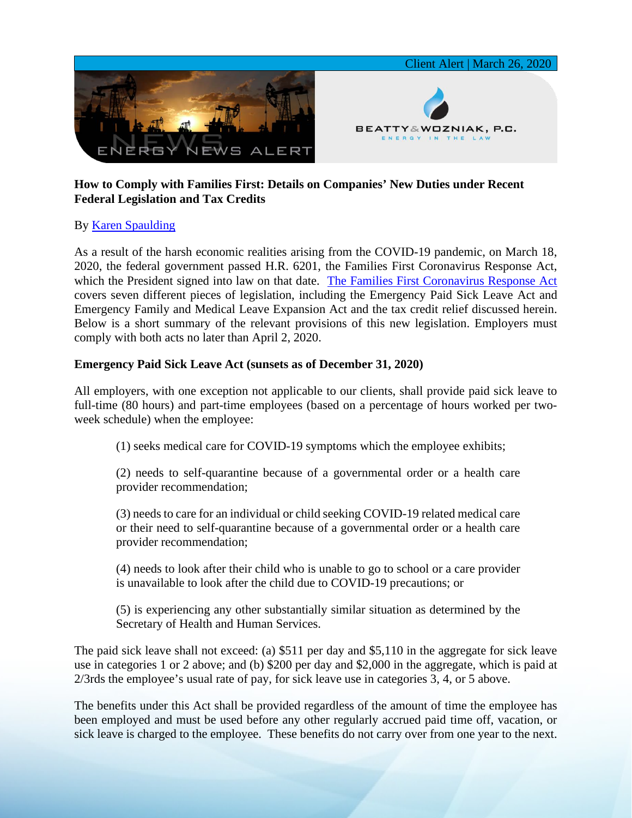

## **How to Comply with Families First: Details on Companies' New Duties under Recent Federal Legislation and Tax Credits**

# By [Karen Spaulding](https://www.bwenergylaw.com/karen-spaulding)

As a result of the harsh economic realities arising from the COVID-19 pandemic, on March 18, 2020, the federal government passed H.R. 6201, the Families First Coronavirus Response Act, which the President signed into law on that date. [The Families First Coronavirus Response Act](https://7786d557-4329-4d99-be6b-ee891e97ad6a.filesusr.com/ugd/368105_a7e289f8932e47168a1da79ffc702958.pdf) covers seven different pieces of legislation, including the Emergency Paid Sick Leave Act and Emergency Family and Medical Leave Expansion Act and the tax credit relief discussed herein. Below is a short summary of the relevant provisions of this new legislation. Employers must comply with both acts no later than April 2, 2020.

### **Emergency Paid Sick Leave Act (sunsets as of December 31, 2020)**

All employers, with one exception not applicable to our clients, shall provide paid sick leave to full-time (80 hours) and part-time employees (based on a percentage of hours worked per twoweek schedule) when the employee:

(1) seeks medical care for COVID-19 symptoms which the employee exhibits;

(2) needs to self-quarantine because of a governmental order or a health care provider recommendation;

(3) needs to care for an individual or child seeking COVID-19 related medical care or their need to self-quarantine because of a governmental order or a health care provider recommendation;

(4) needs to look after their child who is unable to go to school or a care provider is unavailable to look after the child due to COVID-19 precautions; or

(5) is experiencing any other substantially similar situation as determined by the Secretary of Health and Human Services.

The paid sick leave shall not exceed: (a) \$511 per day and \$5,110 in the aggregate for sick leave use in categories 1 or 2 above; and (b) \$200 per day and \$2,000 in the aggregate, which is paid at 2/3rds the employee's usual rate of pay, for sick leave use in categories 3, 4, or 5 above.

The benefits under this Act shall be provided regardless of the amount of time the employee has been employed and must be used before any other regularly accrued paid time off, vacation, or sick leave is charged to the employee. These benefits do not carry over from one year to the next.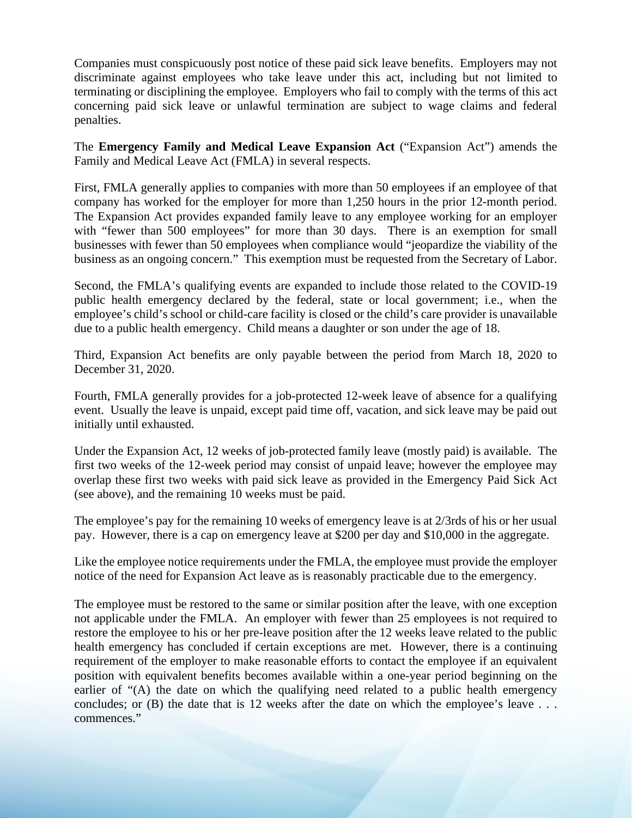Companies must conspicuously post notice of these paid sick leave benefits. Employers may not discriminate against employees who take leave under this act, including but not limited to terminating or disciplining the employee. Employers who fail to comply with the terms of this act concerning paid sick leave or unlawful termination are subject to wage claims and federal penalties.

The **Emergency Family and Medical Leave Expansion Act** ("Expansion Act") amends the Family and Medical Leave Act (FMLA) in several respects.

First, FMLA generally applies to companies with more than 50 employees if an employee of that company has worked for the employer for more than 1,250 hours in the prior 12-month period. The Expansion Act provides expanded family leave to any employee working for an employer with "fewer than 500 employees" for more than 30 days. There is an exemption for small businesses with fewer than 50 employees when compliance would "jeopardize the viability of the business as an ongoing concern." This exemption must be requested from the Secretary of Labor.

Second, the FMLA's qualifying events are expanded to include those related to the COVID-19 public health emergency declared by the federal, state or local government; i.e., when the employee's child's school or child-care facility is closed or the child's care provider is unavailable due to a public health emergency. Child means a daughter or son under the age of 18.

Third, Expansion Act benefits are only payable between the period from March 18, 2020 to December 31, 2020.

Fourth, FMLA generally provides for a job-protected 12-week leave of absence for a qualifying event. Usually the leave is unpaid, except paid time off, vacation, and sick leave may be paid out initially until exhausted.

Under the Expansion Act, 12 weeks of job-protected family leave (mostly paid) is available. The first two weeks of the 12-week period may consist of unpaid leave; however the employee may overlap these first two weeks with paid sick leave as provided in the Emergency Paid Sick Act (see above), and the remaining 10 weeks must be paid.

The employee's pay for the remaining 10 weeks of emergency leave is at 2/3rds of his or her usual pay. However, there is a cap on emergency leave at \$200 per day and \$10,000 in the aggregate.

Like the employee notice requirements under the FMLA, the employee must provide the employer notice of the need for Expansion Act leave as is reasonably practicable due to the emergency.

The employee must be restored to the same or similar position after the leave, with one exception not applicable under the FMLA. An employer with fewer than 25 employees is not required to restore the employee to his or her pre-leave position after the 12 weeks leave related to the public health emergency has concluded if certain exceptions are met. However, there is a continuing requirement of the employer to make reasonable efforts to contact the employee if an equivalent position with equivalent benefits becomes available within a one-year period beginning on the earlier of "(A) the date on which the qualifying need related to a public health emergency concludes; or (B) the date that is 12 weeks after the date on which the employee's leave ... commences."